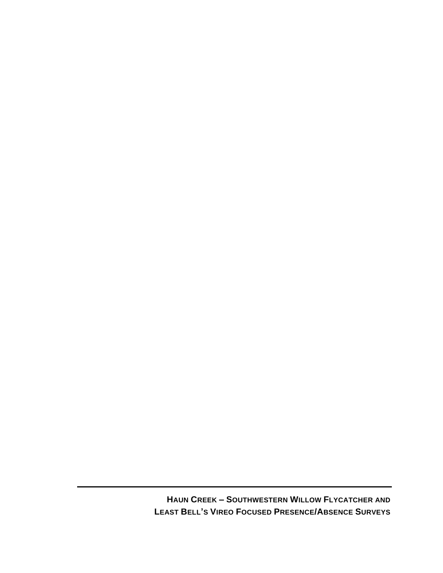**HAUN CREEK – SOUTHWESTERN WILLOW FLYCATCHER AND LEAST BELL'S VIREO FOCUSED PRESENCE/ABSENCE SURVEYS**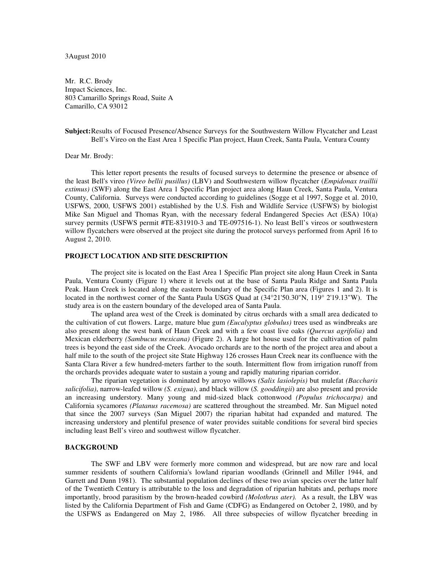# 3August 2010

Mr. R.C. Brody Impact Sciences, Inc. 803 Camarillo Springs Road, Suite A Camarillo, CA 93012

# **Subject:** Results of Focused Presence/Absence Surveys for the Southwestern Willow Flycatcher and Least Bell's Vireo on the East Area 1 Specific Plan project, Haun Creek, Santa Paula, Ventura County

### Dear Mr. Brody:

This letter report presents the results of focused surveys to determine the presence or absence of the least Bell's vireo *(Vireo bellii pusillus)* (LBV) and Southwestern willow flycatcher (*Empidonax traillii extimus)* (SWF) along the East Area 1 Specific Plan project area along Haun Creek, Santa Paula, Ventura County, California. Surveys were conducted according to guidelines (Sogge et al 1997, Sogge et al. 2010, USFWS, 2000, USFWS 2001) established by the U.S. Fish and Wildlife Service (USFWS) by biologist Mike San Miguel and Thomas Ryan, with the necessary federal Endangered Species Act (ESA) 10(a) survey permits (USFWS permit #TE-831910-3 and TE-097516-1). No least Bell's vireos or southwestern willow flycatchers were observed at the project site during the protocol surveys performed from April 16 to August 2, 2010.

### **PROJECT LOCATION AND SITE DESCRIPTION**

The project site is located on the East Area 1 Specific Plan project site along Haun Creek in Santa Paula, Ventura County (Figure 1) where it levels out at the base of Santa Paula Ridge and Santa Paula Peak. Haun Creek is located along the eastern boundary of the Specific Plan area (Figures 1 and 2). It is located in the northwest corner of the Santa Paula USGS Quad at (34°21'50.30"N, 119° 2'19.13"W). The study area is on the eastern boundary of the developed area of Santa Paula.

The upland area west of the Creek is dominated by citrus orchards with a small area dedicated to the cultivation of cut flowers. Large, mature blue gum *(Eucalyptus globulus)* trees used as windbreaks are also present along the west bank of Haun Creek and with a few coast live oaks *(Quercus agrifolia)* and Mexican elderberry *(Sambucus mexicana)* (Figure 2). A large hot house used for the cultivation of palm trees is beyond the east side of the Creek. Avocado orchards are to the north of the project area and about a half mile to the south of the project site State Highway 126 crosses Haun Creek near its confluence with the Santa Clara River a few hundred-meters farther to the south. Intermittent flow from irrigation runoff from the orchards provides adequate water to sustain a young and rapidly maturing riparian corridor.

The riparian vegetation is dominated by arroyo willows *(Salix lasiolepis)* but mulefat *(Baccharis salicifolia)*, narrow-leafed willow *(S. exigua)*, and black willow (*S. gooddingii*) are also present and provide an increasing understory*.* Many young and mid-sized black cottonwood *(Populus trichocarpa)* and California sycamores *(Platanus racemosa)* are scattered throughout the streambed. Mr. San Miguel noted that since the 2007 surveys (San Miguel 2007) the riparian habitat had expanded and matured*.* The increasing understory and plentiful presence of water provides suitable conditions for several bird species including least Bell's vireo and southwest willow flycatcher.

### **BACKGROUND**

The SWF and LBV were formerly more common and widespread, but are now rare and local summer residents of southern California's lowland riparian woodlands (Grinnell and Miller 1944, and Garrett and Dunn 1981). The substantial population declines of these two avian species over the latter half of the Twentieth Century is attributable to the loss and degradation of riparian habitats and, perhaps more importantly, brood parasitism by the brown-headed cowbird *(Molothrus ater).* As a result, the LBV was listed by the California Department of Fish and Game (CDFG) as Endangered on October 2, 1980, and by the USFWS as Endangered on May 2, 1986. All three subspecies of willow flycatcher breeding in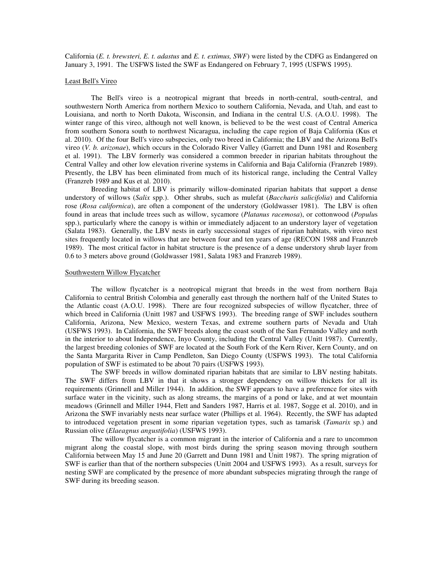California (*E. t. brewsteri, E. t. adastus* and *E. t. extimus, SWF*) were listed by the CDFG as Endangered on January 3, 1991. The USFWS listed the SWF as Endangered on February 7, 1995 (USFWS 1995).

#### Least Bell's Vireo

The Bell's vireo is a neotropical migrant that breeds in north-central, south-central, and southwestern North America from northern Mexico to southern California, Nevada, and Utah, and east to Louisiana, and north to North Dakota, Wisconsin, and Indiana in the central U.S. (A.O.U. 1998). The winter range of this vireo, although not well known, is believed to be the west coast of Central America from southern Sonora south to northwest Nicaragua, including the cape region of Baja California (Kus et al. 2010). Of the four Bell's vireo subspecies, only two breed in California; the LBV and the Arizona Bell's vireo (*V. b. arizonae*), which occurs in the Colorado River Valley (Garrett and Dunn 1981 and Rosenberg et al. 1991). The LBV formerly was considered a common breeder in riparian habitats throughout the Central Valley and other low elevation riverine systems in California and Baja California (Franzreb 1989). Presently, the LBV has been eliminated from much of its historical range, including the Central Valley (Franzreb 1989 and Kus et al. 2010).

Breeding habitat of LBV is primarily willow-dominated riparian habitats that support a dense understory of willows (*Salix* spp.). Other shrubs, such as mulefat (*Baccharis salicifolia*) and California rose (*Rosa californica*), are often a component of the understory (Goldwasser 1981). The LBV is often found in areas that include trees such as willow, sycamore (*Platanus racemosa*), or cottonwood (*Populu*s spp.), particularly where the canopy is within or immediately adjacent to an understory layer of vegetation (Salata 1983). Generally, the LBV nests in early successional stages of riparian habitats, with vireo nest sites frequently located in willows that are between four and ten years of age (RECON 1988 and Franzreb 1989). The most critical factor in habitat structure is the presence of a dense understory shrub layer from 0.6 to 3 meters above ground (Goldwasser 1981, Salata 1983 and Franzreb 1989).

#### Southwestern Willow Flycatcher

The willow flycatcher is a neotropical migrant that breeds in the west from northern Baja California to central British Colombia and generally east through the northern half of the United States to the Atlantic coast (A.O.U. 1998). There are four recognized subspecies of willow flycatcher, three of which breed in California (Unitt 1987 and USFWS 1993). The breeding range of SWF includes southern California, Arizona, New Mexico, western Texas, and extreme southern parts of Nevada and Utah (USFWS 1993). In California, the SWF breeds along the coast south of the San Fernando Valley and north in the interior to about Independence, Inyo County, including the Central Valley (Unitt 1987). Currently, the largest breeding colonies of SWF are located at the South Fork of the Kern River, Kern County, and on the Santa Margarita River in Camp Pendleton, San Diego County (USFWS 1993). The total California population of SWF is estimated to be about 70 pairs (USFWS 1993).

The SWF breeds in willow dominated riparian habitats that are similar to LBV nesting habitats. The SWF differs from LBV in that it shows a stronger dependency on willow thickets for all its requirements (Grinnell and Miller 1944). In addition, the SWF appears to have a preference for sites with surface water in the vicinity, such as along streams, the margins of a pond or lake, and at wet mountain meadows (Grinnell and Miller 1944, Flett and Sanders 1987, Harris et al. 1987, Sogge et al. 2010), and in Arizona the SWF invariably nests near surface water (Phillips et al. 1964). Recently, the SWF has adapted to introduced vegetation present in some riparian vegetation types, such as tamarisk (*Tamarix* sp.) and Russian olive (*Elaeagnus angustifolia*) (USFWS 1993).

The willow flycatcher is a common migrant in the interior of California and a rare to uncommon migrant along the coastal slope, with most birds during the spring season moving through southern California between May 15 and June 20 (Garrett and Dunn 1981 and Unitt 1987). The spring migration of SWF is earlier than that of the northern subspecies (Unitt 2004 and USFWS 1993). As a result, surveys for nesting SWF are complicated by the presence of more abundant subspecies migrating through the range of SWF during its breeding season.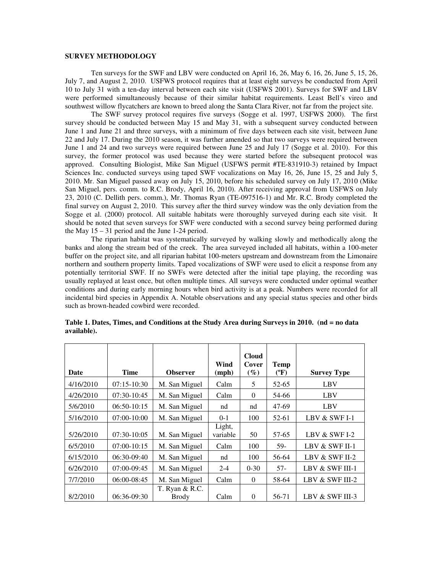# **SURVEY METHODOLOGY**

Ten surveys for the SWF and LBV were conducted on April 16, 26, May 6, 16, 26, June 5, 15, 26, July 7, and August 2, 2010. USFWS protocol requires that at least eight surveys be conducted from April 10 to July 31 with a ten-day interval between each site visit (USFWS 2001). Surveys for SWF and LBV were performed simultaneously because of their similar habitat requirements. Least Bell's vireo and southwest willow flycatchers are known to breed along the Santa Clara River, not far from the project site.

The SWF survey protocol requires five surveys (Sogge et al. 1997, USFWS 2000). The first survey should be conducted between May 15 and May 31, with a subsequent survey conducted between June 1 and June 21 and three surveys, with a minimum of five days between each site visit, between June 22 and July 17. During the 2010 season, it was further amended so that two surveys were required between June 1 and 24 and two surveys were required between June 25 and July 17 (Sogge et al. 2010). For this survey, the former protocol was used because they were started before the subsequent protocol was approved. Consulting Biologist, Mike San Miguel (USFWS permit #TE-831910-3) retained by Impact Sciences Inc. conducted surveys using taped SWF vocalizations on May 16, 26, June 15, 25 and July 5, 2010. Mr. San Miguel passed away on July 15, 2010, before his scheduled survey on July 17, 2010 (Mike San Miguel, pers. comm. to R.C. Brody, April 16, 2010). After receiving approval from USFWS on July 23, 2010 (C. Dellith pers. comm.), Mr. Thomas Ryan (TE-097516-1) and Mr. R.C. Brody completed the final survey on August 2, 2010. This survey after the third survey window was the only deviation from the Sogge et al. (2000) protocol. All suitable habitats were thoroughly surveyed during each site visit. It should be noted that seven surveys for SWF were conducted with a second survey being performed during the May  $15 - 31$  period and the June 1-24 period.

The riparian habitat was systematically surveyed by walking slowly and methodically along the banks and along the stream bed of the creek. The area surveyed included all habitats, within a 100-meter buffer on the project site, and all riparian habitat 100-meters upstream and downstream from the Limonaire northern and southern property limits. Taped vocalizations of SWF were used to elicit a response from any potentially territorial SWF. If no SWFs were detected after the initial tape playing, the recording was usually replayed at least once, but often multiple times. All surveys were conducted under optimal weather conditions and during early morning hours when bird activity is at a peak. Numbers were recorded for all incidental bird species in Appendix A. Notable observations and any special status species and other birds such as brown-headed cowbird were recorded.

| Date      | Time          | <b>Observer</b>         | Wind<br>(mph)      | <b>Cloud</b><br>Cover<br>$(\%)$ | Temp<br>(°F) | <b>Survey Type</b> |  |
|-----------|---------------|-------------------------|--------------------|---------------------------------|--------------|--------------------|--|
| 4/16/2010 | $07:15-10:30$ | M. San Miguel           | Calm               | 5                               | 52-65        | LBV                |  |
| 4/26/2010 | $07:30-10:45$ | M. San Miguel           | Calm               | $\Omega$                        | 54-66        | LBV                |  |
| 5/6/2010  | 06:50-10:15   | M. San Miguel           | nd                 | nd                              | 47-69        | LBV                |  |
| 5/16/2010 | $07:00-10:00$ | M. San Miguel           | $0-1$              | 100                             | $52-61$      | LBV & SWF I-1      |  |
| 5/26/2010 | $07:30-10:05$ | M. San Miguel           | Light,<br>variable | 50                              | 57-65        | LBV & SWF I-2      |  |
| 6/5/2010  | 07:00-10:15   | M. San Miguel           | Calm               | 100                             | 59-          | LBV & SWF II-1     |  |
| 6/15/2010 | 06:30-09:40   | M. San Miguel           | nd                 | 100                             | 56-64        | LBV & SWF II-2     |  |
| 6/26/2010 | 07:00-09:45   | M. San Miguel           | $2 - 4$            | $0 - 30$                        | 57-          | LBV & SWF III-1    |  |
| 7/7/2010  | 06:00-08:45   | M. San Miguel           | Calm               | $\Omega$                        | 58-64        | LBV & SWF III-2    |  |
| 8/2/2010  | $06:36-09:30$ | T. Ryan & R.C.<br>Brody | Calm               | $\Omega$                        | 56-71        | LBV & SWF III-3    |  |

**Table 1. Dates, Times, and Conditions at the Study Area during Surveys in 2010. (nd = no data available).**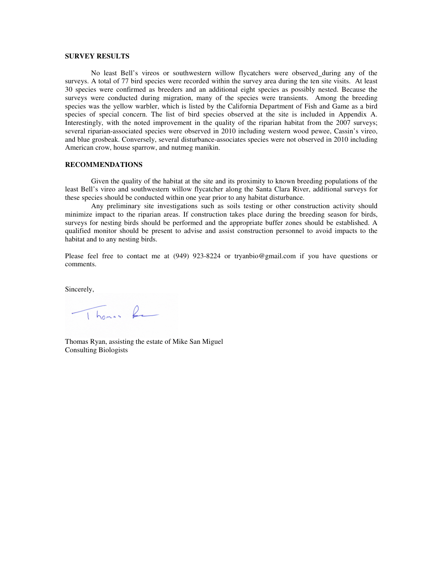# **SURVEY RESULTS**

No least Bell's vireos or southwestern willow flycatchers were observed during any of the surveys. A total of 77 bird species were recorded within the survey area during the ten site visits. At least 30 species were confirmed as breeders and an additional eight species as possibly nested. Because the surveys were conducted during migration, many of the species were transients. Among the breeding species was the yellow warbler, which is listed by the California Department of Fish and Game as a bird species of special concern. The list of bird species observed at the site is included in Appendix A. Interestingly, with the noted improvement in the quality of the riparian habitat from the 2007 surveys; several riparian-associated species were observed in 2010 including western wood pewee, Cassin's vireo, and blue grosbeak. Conversely, several disturbance-associates species were not observed in 2010 including American crow, house sparrow, and nutmeg manikin.

# **RECOMMENDATIONS**

Given the quality of the habitat at the site and its proximity to known breeding populations of the least Bell's vireo and southwestern willow flycatcher along the Santa Clara River, additional surveys for these species should be conducted within one year prior to any habitat disturbance.

Any preliminary site investigations such as soils testing or other construction activity should minimize impact to the riparian areas. If construction takes place during the breeding season for birds, surveys for nesting birds should be performed and the appropriate buffer zones should be established. A qualified monitor should be present to advise and assist construction personnel to avoid impacts to the habitat and to any nesting birds.

Please feel free to contact me at (949) 923-8224 or tryanbio@gmail.com if you have questions or comments.

Sincerely,

Thomas Re

Thomas Ryan, assisting the estate of Mike San Miguel Consulting Biologists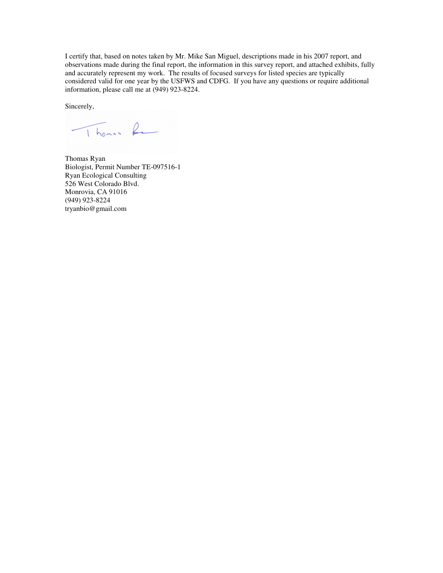I certify that, based on notes taken by Mr. Mike San Miguel, descriptions made in his 2007 report, and observations made during the final report, the information in this survey report, and attached exhibits, fully and accurately represent my work. The results of focused surveys for listed species are typically considered valid for one year by the USFWS and CDFG. If you have any questions or require additional information, please call me at (949) 923-8224.

Sincerely,

Thomas Re

Thomas Ryan Biologist, Permit Number TE-097516-1 Ryan Ecological Consulting 526 West Colorado Blvd. Monrovia, CA 91016 (949) 923-8224 tryanbio@gmail.com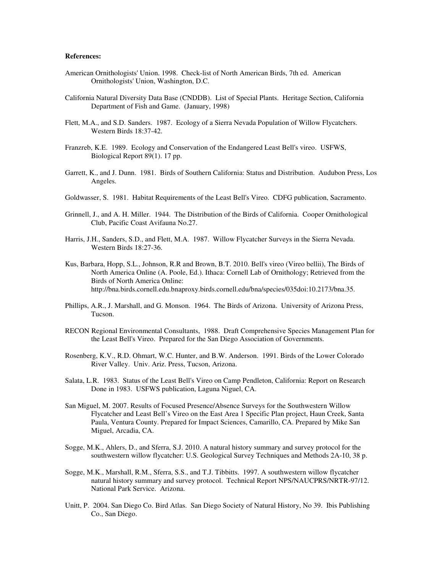# **References:**

- American Ornithologists' Union. 1998. Check-list of North American Birds, 7th ed. American Ornithologists' Union, Washington, D.C.
- California Natural Diversity Data Base (CNDDB). List of Special Plants. Heritage Section, California Department of Fish and Game. (January, 1998)
- Flett, M.A., and S.D. Sanders. 1987. Ecology of a Sierra Nevada Population of Willow Flycatchers. Western Birds 18:37-42.
- Franzreb, K.E. 1989. Ecology and Conservation of the Endangered Least Bell's vireo. USFWS, Biological Report 89(1). 17 pp.
- Garrett, K., and J. Dunn. 1981. Birds of Southern California: Status and Distribution. Audubon Press, Los Angeles.
- Goldwasser, S. 1981. Habitat Requirements of the Least Bell's Vireo. CDFG publication, Sacramento.
- Grinnell, J., and A. H. Miller. 1944. The Distribution of the Birds of California. Cooper Ornithological Club, Pacific Coast Avifauna No.27.
- Harris, J.H., Sanders, S.D., and Flett, M.A. 1987. Willow Flycatcher Surveys in the Sierra Nevada. Western Birds 18:27-36.
- Kus, Barbara, Hopp, S.L., Johnson, R.R and Brown, B.T. 2010. Bell's vireo (Vireo bellii), The Birds of North America Online (A. Poole, Ed.). Ithaca: Cornell Lab of Ornithology; Retrieved from the Birds of North America Online: http://bna.birds.cornell.edu.bnaproxy.birds.cornell.edu/bna/species/035doi:10.2173/bna.35.
- Phillips, A.R., J. Marshall, and G. Monson. 1964. The Birds of Arizona. University of Arizona Press, Tucson.
- RECON Regional Environmental Consultants, 1988. Draft Comprehensive Species Management Plan for the Least Bell's Vireo. Prepared for the San Diego Association of Governments.
- Rosenberg, K.V., R.D. Ohmart, W.C. Hunter, and B.W. Anderson. 1991. Birds of the Lower Colorado River Valley. Univ. Ariz. Press, Tucson, Arizona.
- Salata, L.R. 1983. Status of the Least Bell's Vireo on Camp Pendleton, California: Report on Research Done in 1983. USFWS publication, Laguna Niguel, CA.
- San Miguel, M. 2007. Results of Focused Presence/Absence Surveys for the Southwestern Willow Flycatcher and Least Bell's Vireo on the East Area 1 Specific Plan project, Haun Creek, Santa Paula, Ventura County. Prepared for Impact Sciences, Camarillo, CA. Prepared by Mike San Miguel, Arcadia, CA.
- Sogge, M.K., Ahlers, D., and Sferra, S.J. 2010. A natural history summary and survey protocol for the southwestern willow flycatcher: U.S. Geological Survey Techniques and Methods 2A-10, 38 p.
- Sogge, M.K., Marshall, R.M., Sferra, S.S., and T.J. Tibbitts. 1997. A southwestern willow flycatcher natural history summary and survey protocol. Technical Report NPS/NAUCPRS/NRTR-97/12. National Park Service. Arizona.
- Unitt, P. 2004. San Diego Co. Bird Atlas. San Diego Society of Natural History, No 39. Ibis Publishing Co., San Diego.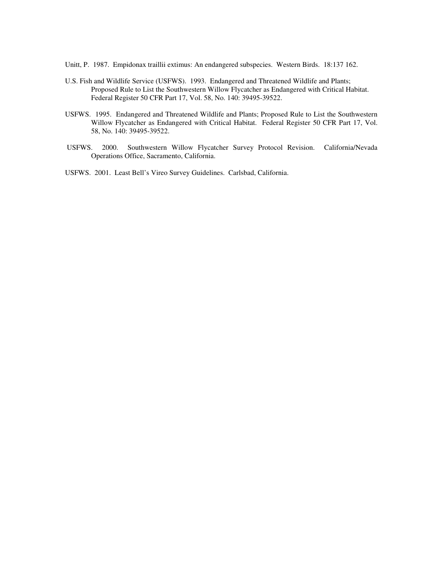Unitt, P. 1987. Empidonax traillii extimus: An endangered subspecies. Western Birds. 18:137 162.

- U.S. Fish and Wildlife Service (USFWS). 1993. Endangered and Threatened Wildlife and Plants; Proposed Rule to List the Southwestern Willow Flycatcher as Endangered with Critical Habitat. Federal Register 50 CFR Part 17, Vol. 58, No. 140: 39495-39522.
- USFWS. 1995. Endangered and Threatened Wildlife and Plants; Proposed Rule to List the Southwestern Willow Flycatcher as Endangered with Critical Habitat. Federal Register 50 CFR Part 17, Vol. 58, No. 140: 39495-39522.
- USFWS. 2000. Southwestern Willow Flycatcher Survey Protocol Revision. California/Nevada Operations Office, Sacramento, California.

USFWS. 2001. Least Bell's Vireo Survey Guidelines. Carlsbad, California.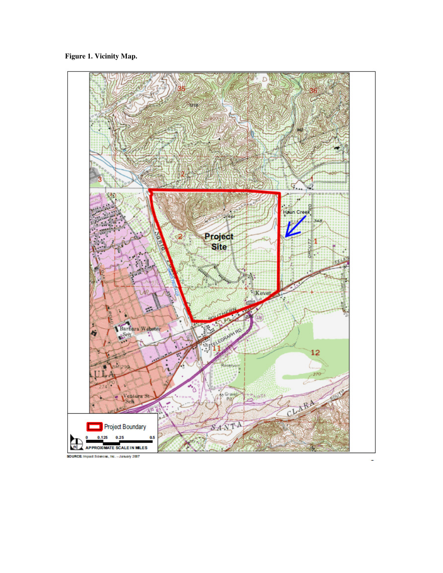**Figure 1. Vicinity Map.** 



SOURCE: Impact Sciences, Inc. - January 2007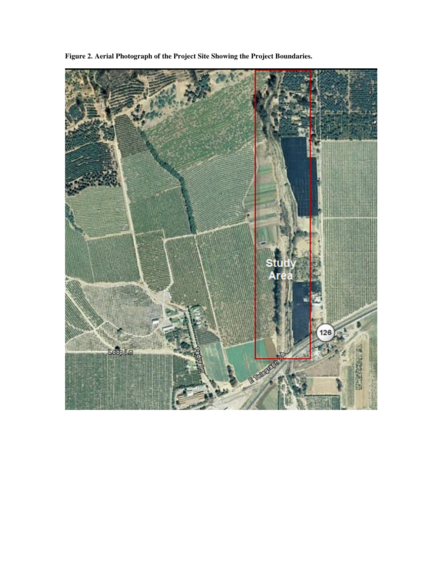

**Figure 2. Aerial Photograph of the Project Site Showing the Project Boundaries.**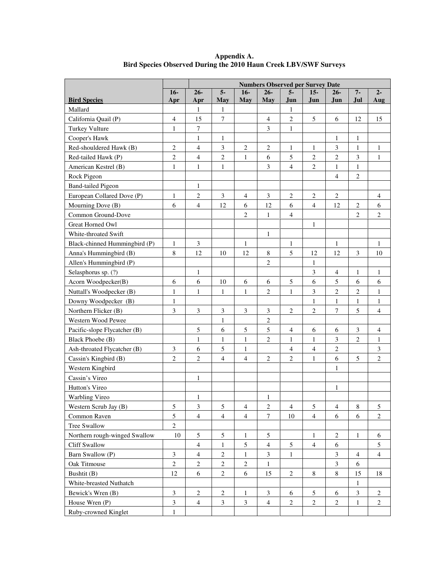|                               |                | <b>Numbers Observed per Survey Date</b> |                  |                |                |                |                         |                |                |                |
|-------------------------------|----------------|-----------------------------------------|------------------|----------------|----------------|----------------|-------------------------|----------------|----------------|----------------|
|                               | $16-$          | $26 -$                                  | $5-$             | $16-$          | $26 -$         | 5-             | $15-$                   | 26-            | $7-$           | $2 -$          |
| <b>Bird Species</b>           | Apr            | Apr                                     | May              | <b>May</b>     | <b>May</b>     | Jun            | Jun                     | Jun            | Jul            | Aug            |
| Mallard                       |                | 1                                       | 1                |                |                | 1              |                         |                |                |                |
| California Quail (P)          | $\overline{4}$ | 15                                      | 7                |                | $\overline{4}$ | 2              | 5                       | 6              | 12             | 15             |
| Turkey Vulture                | $\mathbf{1}$   | $\overline{7}$                          |                  |                | 3              | $\mathbf{1}$   |                         |                |                |                |
| Cooper's Hawk                 |                | $\mathbf{1}$                            | $\mathbf{1}$     |                |                |                |                         | $\mathbf{1}$   | $\mathbf{1}$   |                |
| Red-shouldered Hawk (B)       | $\overline{2}$ | $\overline{4}$                          | 3                | $\overline{2}$ | $\overline{2}$ | $\mathbf{1}$   | $\mathbf{1}$            | 3              | $\mathbf{1}$   | $\mathbf{1}$   |
| Red-tailed Hawk (P)           | $\overline{c}$ | $\overline{4}$                          | $\boldsymbol{2}$ | 1              | 6              | 5              | $\overline{c}$          | $\sqrt{2}$     | 3              | 1              |
| American Kestrel (B)          | $\mathbf{1}$   | $\mathbf{1}$                            | 1                |                | 3              | $\overline{4}$ | $\overline{2}$          | $\mathbf{1}$   | $\mathbf{1}$   |                |
| Rock Pigeon                   |                |                                         |                  |                |                |                |                         | $\overline{4}$ | $\sqrt{2}$     |                |
| <b>Band-tailed Pigeon</b>     |                | $\mathbf{1}$                            |                  |                |                |                |                         |                |                |                |
| European Collared Dove (P)    | $\mathbf{1}$   | $\overline{2}$                          | 3                | $\overline{4}$ | $\mathfrak{Z}$ | $\overline{2}$ | $\overline{c}$          | $\overline{2}$ |                | $\overline{4}$ |
| Mourning Dove (B)             | 6              | $\overline{4}$                          | 12               | 6              | 12             | 6              | $\overline{4}$          | 12             | $\sqrt{2}$     | 6              |
| Common Ground-Dove            |                |                                         |                  | $\overline{2}$ | $\mathbf{1}$   | $\overline{4}$ |                         |                | $\overline{2}$ | $\overline{2}$ |
| <b>Great Horned Owl</b>       |                |                                         |                  |                |                |                | $\mathbf{1}$            |                |                |                |
| White-throated Swift          |                |                                         |                  |                | $\mathbf{1}$   |                |                         |                |                |                |
| Black-chinned Hummingbird (P) | 1              | 3                                       |                  | $\mathbf{1}$   |                | 1              |                         | 1              |                | $\mathbf{1}$   |
| Anna's Hummingbird (B)        | $\,8\,$        | 12                                      | 10               | 12             | 8              | 5              | 12                      | 12             | 3              | 10             |
| Allen's Hummingbird (P)       |                |                                         |                  |                | $\overline{c}$ |                | $\mathbf{1}$            |                |                |                |
| Selasphorus sp. (?)           |                | $\,1\,$                                 |                  |                |                |                | 3                       | $\overline{4}$ | $\mathbf{1}$   | $\mathbf{1}$   |
| Acorn Woodpecker(B)           | 6              | 6                                       | 10               | 6              | 6              | 5              | 6                       | 5              | 6              | 6              |
| Nuttall's Woodpecker (B)      | $\mathbf{1}$   | $\mathbf{1}$                            | $\mathbf{1}$     | $\mathbf{1}$   | $\overline{c}$ | $\mathbf{1}$   | 3                       | $\overline{2}$ | $\sqrt{2}$     | $\mathbf{1}$   |
| Downy Woodpecker (B)          | $\mathbf{1}$   |                                         |                  |                |                |                | $\mathbf{1}$            | $\mathbf{1}$   | $\mathbf{1}$   | $\mathbf{1}$   |
| Northern Flicker (B)          | 3              | $\mathfrak 3$                           | 3                | $\mathfrak{Z}$ | $\mathfrak{Z}$ | $\mathbf{2}$   | $\overline{c}$          | $\overline{7}$ | 5              | $\overline{4}$ |
| Western Wood Pewee            |                |                                         | $\mathbf{1}$     |                | $\sqrt{2}$     |                |                         |                |                |                |
| Pacific-slope Flycatcher (B)  |                | 5                                       | 6                | 5              | 5              | $\overline{4}$ | 6                       | 6              | 3              | $\overline{4}$ |
| Black Phoebe (B)              |                | 1                                       | $\mathbf{1}$     | $\,1$          | $\overline{c}$ | $\mathbf{1}$   | $\mathbf{1}$            | $\mathfrak{Z}$ | $\sqrt{2}$     | $\mathbf{1}$   |
| Ash-throated Flycatcher (B)   | $\mathfrak{Z}$ | 6                                       | $\mathfrak{S}$   | $\mathbf{1}$   |                | $\overline{4}$ | $\overline{\mathbf{4}}$ | $\sqrt{2}$     |                | 3              |
| Cassin's Kingbird (B)         | $\overline{2}$ | $\overline{2}$                          | $\overline{4}$   | $\overline{4}$ | $\mathbf{2}$   | $\overline{c}$ | $\mathbf{1}$            | 6              | $\mathfrak s$  | $\overline{c}$ |
| Western Kingbird              |                |                                         |                  |                |                |                |                         | $\mathbf{1}$   |                |                |
| Cassin's Vireo                |                | $\mathbf{1}$                            |                  |                |                |                |                         |                |                |                |
| Hutton's Vireo                |                |                                         |                  |                |                |                |                         | 1              |                |                |
| Warbling Vireo                |                | $\mathbf{1}$                            |                  |                | $\mathbf{1}$   |                |                         |                |                |                |
| Western Scrub Jay (B)         | 5              | $\mathfrak{Z}$                          | 5                | $\overline{4}$ | $\overline{c}$ | $\overline{4}$ | 5                       | $\overline{4}$ | 8              | 5              |
| Common Raven                  | 5              | $\overline{4}$                          | $\overline{4}$   | $\overline{4}$ | $\tau$         | 10             | $\overline{4}$          | 6              | 6              | $\overline{2}$ |
| Tree Swallow                  | $\overline{2}$ |                                         |                  |                |                |                |                         |                |                |                |
| Northern rough-winged Swallow | 10             | $\sqrt{5}$                              | 5                | 1              | 5              |                | $\mathbf{1}$            | $\sqrt{2}$     | 1              | 6              |
| <b>Cliff Swallow</b>          |                | $\overline{4}$                          | 1                | $\sqrt{5}$     | $\overline{4}$ | $\mathfrak{S}$ | $\overline{4}$          | 6              |                | 5              |
| Barn Swallow (P)              | $\mathfrak{Z}$ | $\overline{4}$                          | $\overline{c}$   | 1              | 3              | $\mathbf{1}$   |                         | 3              | $\overline{4}$ | 4              |
| Oak Titmouse                  | $\overline{2}$ | $\overline{c}$                          | $\mathbf{2}$     | $\mathbf{2}$   | $\mathbf{1}$   |                |                         | $\mathfrak{Z}$ | 6              |                |
| Bushtit (B)                   | 12             | 6                                       | $\mathbf{2}$     | 6              | 15             | 2              | 8                       | $\,8\,$        | 15             | 18             |
| White-breasted Nuthatch       |                |                                         |                  |                |                |                |                         |                | $\mathbf{1}$   |                |
| Bewick's Wren (B)             | $\mathfrak{Z}$ | $\overline{2}$                          | $\mathbf{2}$     | 1              | $\mathfrak{Z}$ | 6              | $\mathfrak{S}$          | 6              | $\mathfrak{Z}$ | $\overline{c}$ |
| House Wren (P)                | $\mathfrak{Z}$ | $\overline{4}$                          | 3                | 3              | $\overline{4}$ | 2              | $\sqrt{2}$              | $\overline{c}$ | $\mathbf{1}$   | 2              |
| Ruby-crowned Kinglet          | $\mathbf{1}$   |                                         |                  |                |                |                |                         |                |                |                |

**Appendix A. Bird Species Observed During the 2010 Haun Creek LBV/SWF Surveys**